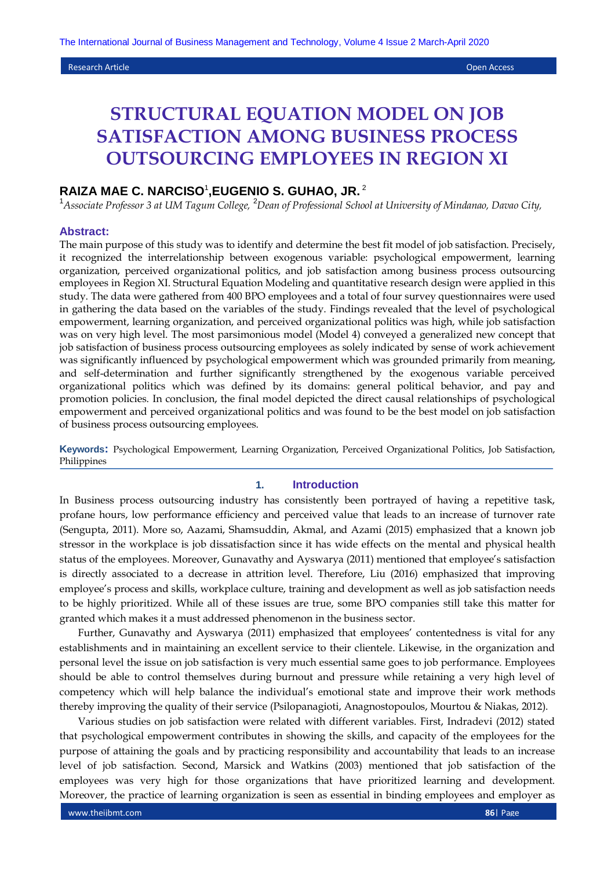#### Research Article Open Access

# **STRUCTURAL EQUATION MODEL ON JOB SATISFACTION AMONG BUSINESS PROCESS OUTSOURCING EMPLOYEES IN REGION XI**

## **RAIZA MAE C. NARCISO**<sup>1</sup> **,EUGENIO S. GUHAO, JR.** <sup>2</sup>

<sup>1</sup>*Associate Professor 3 at UM Tagum College,* <sup>2</sup>*Dean of Professional School at University of Mindanao, Davao City,*

#### **Abstract:**

The main purpose of this study was to identify and determine the best fit model of job satisfaction. Precisely, it recognized the interrelationship between exogenous variable: psychological empowerment, learning organization, perceived organizational politics, and job satisfaction among business process outsourcing employees in Region XI. Structural Equation Modeling and quantitative research design were applied in this study. The data were gathered from 400 BPO employees and a total of four survey questionnaires were used in gathering the data based on the variables of the study. Findings revealed that the level of psychological empowerment, learning organization, and perceived organizational politics was high, while job satisfaction was on very high level. The most parsimonious model (Model 4) conveyed a generalized new concept that job satisfaction of business process outsourcing employees as solely indicated by sense of work achievement was significantly influenced by psychological empowerment which was grounded primarily from meaning, and self-determination and further significantly strengthened by the exogenous variable perceived organizational politics which was defined by its domains: general political behavior, and pay and promotion policies. In conclusion, the final model depicted the direct causal relationships of psychological empowerment and perceived organizational politics and was found to be the best model on job satisfaction of business process outsourcing employees.

**Keywords:** Psychological Empowerment, Learning Organization, Perceived Organizational Politics, Job Satisfaction, Philippines

#### **1. Introduction**

In Business process outsourcing industry has consistently been portrayed of having a repetitive task, profane hours, low performance efficiency and perceived value that leads to an increase of turnover rate (Sengupta, 2011). More so, Aazami, Shamsuddin, Akmal, and Azami (2015) emphasized that a known job stressor in the workplace is job dissatisfaction since it has wide effects on the mental and physical health status of the employees. Moreover, Gunavathy and Ayswarya (2011) mentioned that employee's satisfaction is directly associated to a decrease in attrition level. Therefore, Liu (2016) emphasized that improving employee's process and skills, workplace culture, training and development as well as job satisfaction needs to be highly prioritized. While all of these issues are true, some BPO companies still take this matter for granted which makes it a must addressed phenomenon in the business sector.

Further, Gunavathy and Ayswarya (2011) emphasized that employees' contentedness is vital for any establishments and in maintaining an excellent service to their clientele. Likewise, in the organization and personal level the issue on job satisfaction is very much essential same goes to job performance. Employees should be able to control themselves during burnout and pressure while retaining a very high level of competency which will help balance the individual's emotional state and improve their work methods thereby improving the quality of their service (Psilopanagioti, Anagnostopoulos, Mourtou & Niakas, 2012).

Various studies on job satisfaction were related with different variables. First, Indradevi (2012) stated that psychological empowerment contributes in showing the skills, and capacity of the employees for the purpose of attaining the goals and by practicing responsibility and accountability that leads to an increase level of job satisfaction. Second, Marsick and Watkins (2003) mentioned that job satisfaction of the employees was very high for those organizations that have prioritized learning and development. Moreover, the practice of learning organization is seen as essential in binding employees and employer as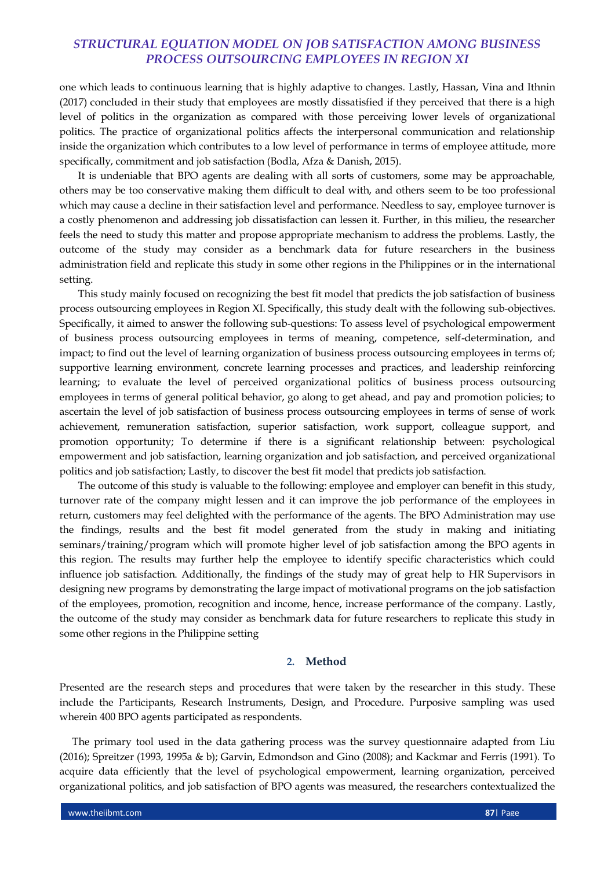one which leads to continuous learning that is highly adaptive to changes. Lastly, Hassan, Vina and Ithnin (2017) concluded in their study that employees are mostly dissatisfied if they perceived that there is a high level of politics in the organization as compared with those perceiving lower levels of organizational politics. The practice of organizational politics affects the interpersonal communication and relationship inside the organization which contributes to a low level of performance in terms of employee attitude, more specifically, commitment and job satisfaction (Bodla, Afza & Danish, 2015).

It is undeniable that BPO agents are dealing with all sorts of customers, some may be approachable, others may be too conservative making them difficult to deal with, and others seem to be too professional which may cause a decline in their satisfaction level and performance. Needless to say, employee turnover is a costly phenomenon and addressing job dissatisfaction can lessen it. Further, in this milieu, the researcher feels the need to study this matter and propose appropriate mechanism to address the problems. Lastly, the outcome of the study may consider as a benchmark data for future researchers in the business administration field and replicate this study in some other regions in the Philippines or in the international setting.

This study mainly focused on recognizing the best fit model that predicts the job satisfaction of business process outsourcing employees in Region XI. Specifically, this study dealt with the following sub-objectives. Specifically, it aimed to answer the following sub-questions: To assess level of psychological empowerment of business process outsourcing employees in terms of meaning, competence, self-determination, and impact; to find out the level of learning organization of business process outsourcing employees in terms of; supportive learning environment, concrete learning processes and practices, and leadership reinforcing learning; to evaluate the level of perceived organizational politics of business process outsourcing employees in terms of general political behavior, go along to get ahead, and pay and promotion policies; to ascertain the level of job satisfaction of business process outsourcing employees in terms of sense of work achievement, remuneration satisfaction, superior satisfaction, work support, colleague support, and promotion opportunity; To determine if there is a significant relationship between: psychological empowerment and job satisfaction, learning organization and job satisfaction, and perceived organizational politics and job satisfaction; Lastly, to discover the best fit model that predicts job satisfaction.

The outcome of this study is valuable to the following: employee and employer can benefit in this study, turnover rate of the company might lessen and it can improve the job performance of the employees in return, customers may feel delighted with the performance of the agents. The BPO Administration may use the findings, results and the best fit model generated from the study in making and initiating seminars/training/program which will promote higher level of job satisfaction among the BPO agents in this region. The results may further help the employee to identify specific characteristics which could influence job satisfaction. Additionally, the findings of the study may of great help to HR Supervisors in designing new programs by demonstrating the large impact of motivational programs on the job satisfaction of the employees, promotion, recognition and income, hence, increase performance of the company. Lastly, the outcome of the study may consider as benchmark data for future researchers to replicate this study in some other regions in the Philippine setting

#### **2. Method**

Presented are the research steps and procedures that were taken by the researcher in this study. These include the Participants, Research Instruments, Design, and Procedure. Purposive sampling was used wherein 400 BPO agents participated as respondents.

 The primary tool used in the data gathering process was the survey questionnaire adapted from Liu (2016); Spreitzer (1993, 1995a & b); Garvin, Edmondson and Gino (2008); and Kackmar and Ferris (1991). To acquire data efficiently that the level of psychological empowerment, learning organization, perceived organizational politics, and job satisfaction of BPO agents was measured, the researchers contextualized the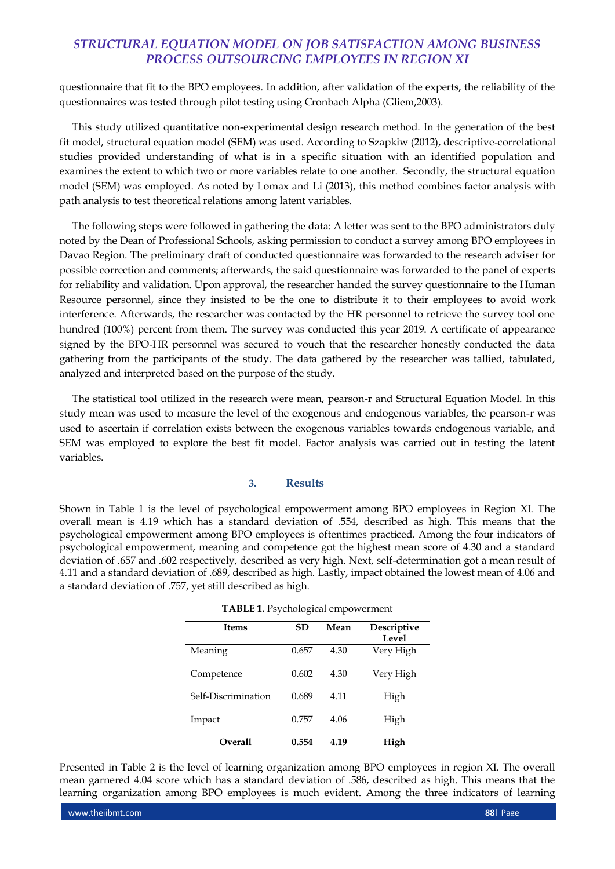questionnaire that fit to the BPO employees. In addition, after validation of the experts, the reliability of the questionnaires was tested through pilot testing using Cronbach Alpha (Gliem,2003).

 This study utilized quantitative non-experimental design research method. In the generation of the best fit model, structural equation model (SEM) was used. According to Szapkiw (2012), descriptive-correlational studies provided understanding of what is in a specific situation with an identified population and examines the extent to which two or more variables relate to one another. Secondly, the structural equation model (SEM) was employed. As noted by Lomax and Li (2013), this method combines factor analysis with path analysis to test theoretical relations among latent variables.

 The following steps were followed in gathering the data: A letter was sent to the BPO administrators duly noted by the Dean of Professional Schools, asking permission to conduct a survey among BPO employees in Davao Region. The preliminary draft of conducted questionnaire was forwarded to the research adviser for possible correction and comments; afterwards, the said questionnaire was forwarded to the panel of experts for reliability and validation. Upon approval, the researcher handed the survey questionnaire to the Human Resource personnel, since they insisted to be the one to distribute it to their employees to avoid work interference. Afterwards, the researcher was contacted by the HR personnel to retrieve the survey tool one hundred (100%) percent from them. The survey was conducted this year 2019. A certificate of appearance signed by the BPO-HR personnel was secured to vouch that the researcher honestly conducted the data gathering from the participants of the study. The data gathered by the researcher was tallied, tabulated, analyzed and interpreted based on the purpose of the study.

 The statistical tool utilized in the research were mean, pearson-r and Structural Equation Model. In this study mean was used to measure the level of the exogenous and endogenous variables, the pearson-r was used to ascertain if correlation exists between the exogenous variables towards endogenous variable, and SEM was employed to explore the best fit model. Factor analysis was carried out in testing the latent variables.

#### **3. Results**

Shown in Table 1 is the level of psychological empowerment among BPO employees in Region XI. The overall mean is 4.19 which has a standard deviation of .554, described as high. This means that the psychological empowerment among BPO employees is oftentimes practiced. Among the four indicators of psychological empowerment, meaning and competence got the highest mean score of 4.30 and a standard deviation of .657 and .602 respectively, described as very high. Next, self-determination got a mean result of 4.11 and a standard deviation of .689, described as high. Lastly, impact obtained the lowest mean of 4.06 and a standard deviation of .757, yet still described as high.

**TABLE 1.** Psychological empowerment

| <b>Items</b>        | SD    | Mean | Descriptive<br>Level |
|---------------------|-------|------|----------------------|
| Meaning             | 0.657 | 4.30 | Very High            |
| Competence          | 0.602 | 4.30 | Very High            |
| Self-Discrimination | 0.689 | 4.11 | High                 |
| Impact              | 0.757 | 4.06 | High                 |
| Overall             | 0.554 | 4.19 | High                 |

Presented in Table 2 is the level of learning organization among BPO employees in region XI. The overall mean garnered 4.04 score which has a standard deviation of .586, described as high. This means that the learning organization among BPO employees is much evident. Among the three indicators of learning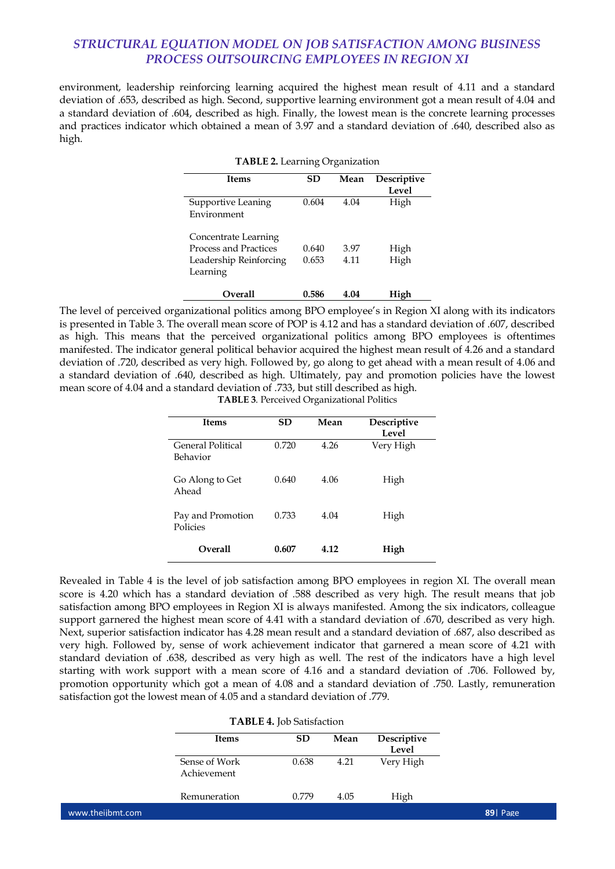environment, leadership reinforcing learning acquired the highest mean result of 4.11 and a standard deviation of .653, described as high. Second, supportive learning environment got a mean result of 4.04 and a standard deviation of .604, described as high. Finally, the lowest mean is the concrete learning processes and practices indicator which obtained a mean of 3.97 and a standard deviation of .640, described also as high.

| <b>TABLE 2.</b> Learning Organization |            |      |             |  |  |  |  |
|---------------------------------------|------------|------|-------------|--|--|--|--|
| <b>Ifems</b>                          | SD<br>Mean |      | Descriptive |  |  |  |  |
|                                       |            |      | Level       |  |  |  |  |
| Supportive Leaning                    | 0.604      | 4.04 | High        |  |  |  |  |
| Environment                           |            |      |             |  |  |  |  |
| Concentrate Learning                  |            |      |             |  |  |  |  |
| <b>Process and Practices</b>          | 0.640      | 3.97 | High        |  |  |  |  |
| Leadership Reinforcing                | 0.653      | 4.11 | High        |  |  |  |  |
| Learning                              |            |      |             |  |  |  |  |
| Overall                               | 0.586      | 4.04 | High        |  |  |  |  |

The level of perceived organizational politics among BPO employee's in Region XI along with its indicators is presented in Table 3. The overall mean score of POP is 4.12 and has a standard deviation of .607, described as high. This means that the perceived organizational politics among BPO employees is oftentimes manifested. The indicator general political behavior acquired the highest mean result of 4.26 and a standard deviation of .720, described as very high. Followed by, go along to get ahead with a mean result of 4.06 and a standard deviation of .640, described as high. Ultimately, pay and promotion policies have the lowest mean score of 4.04 and a standard deviation of .733, but still described as high.

**TABLE 3**. Perceived Organizational Politics

| <b>Items</b>                  | SD    | Mean | Descriptive<br>Level |
|-------------------------------|-------|------|----------------------|
| General Political<br>Behavior | 0.720 | 4.26 | Very High            |
| Go Along to Get<br>Ahead      | 0.640 | 4.06 | High                 |
| Pay and Promotion<br>Policies | 0.733 | 4.04 | High                 |
| <b>Overall</b>                | 0.607 | 4.12 | High                 |

Revealed in Table 4 is the level of job satisfaction among BPO employees in region XI. The overall mean score is 4.20 which has a standard deviation of .588 described as very high. The result means that job satisfaction among BPO employees in Region XI is always manifested. Among the six indicators, colleague support garnered the highest mean score of 4.41 with a standard deviation of .670, described as very high. Next, superior satisfaction indicator has 4.28 mean result and a standard deviation of .687, also described as very high. Followed by, sense of work achievement indicator that garnered a mean score of 4.21 with standard deviation of .638, described as very high as well. The rest of the indicators have a high level starting with work support with a mean score of 4.16 and a standard deviation of .706. Followed by, promotion opportunity which got a mean of 4.08 and a standard deviation of .750. Lastly, remuneration satisfaction got the lowest mean of 4.05 and a standard deviation of .779.

|  |  |  |  |  |  |  | <b>TABLE 4. Job Satisfaction</b> |  |
|--|--|--|--|--|--|--|----------------------------------|--|
|--|--|--|--|--|--|--|----------------------------------|--|

|                  | <b>Items</b>                 | <b>SD</b> | Mean | Descriptive<br>Level |         |
|------------------|------------------------------|-----------|------|----------------------|---------|
|                  | Sense of Work<br>Achievement | 0.638     | 4.21 | Very High            |         |
|                  | Remuneration                 | 0.779     | 4.05 | High                 |         |
| www.theijbmt.com |                              |           |      |                      | 89 Page |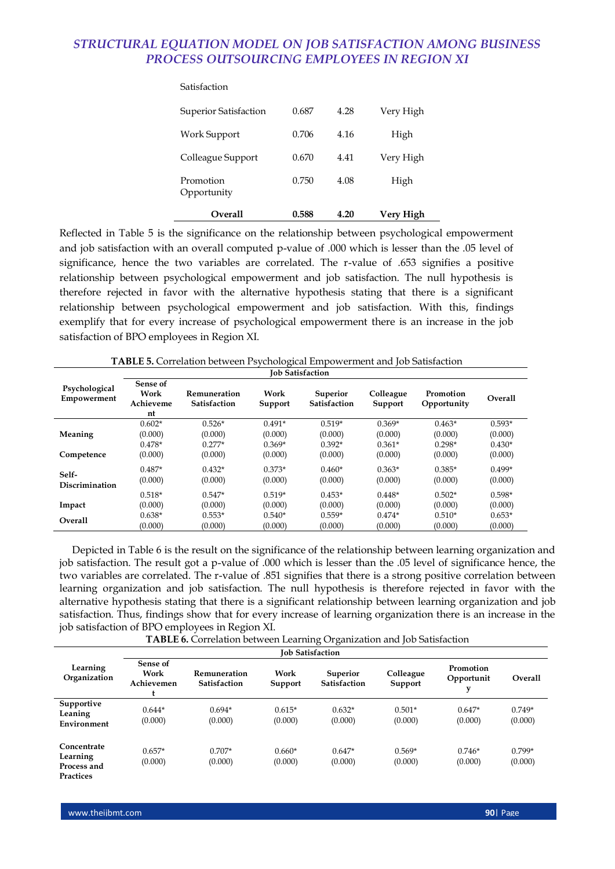| <b>Overall</b>               | 0.588 | 4.20 | Very High |
|------------------------------|-------|------|-----------|
| Promotion<br>Opportunity     | 0.750 | 4.08 | High      |
| Colleague Support            | 0.670 | 4.41 | Very High |
| Work Support                 | 0.706 | 4.16 | High      |
| <b>Superior Satisfaction</b> | 0.687 | 4.28 | Very High |
| Satisfaction                 |       |      |           |

Reflected in Table 5 is the significance on the relationship between psychological empowerment and job satisfaction with an overall computed p-value of .000 which is lesser than the .05 level of significance, hence the two variables are correlated. The r-value of .653 signifies a positive relationship between psychological empowerment and job satisfaction. The null hypothesis is therefore rejected in favor with the alternative hypothesis stating that there is a significant relationship between psychological empowerment and job satisfaction. With this, findings exemplify that for every increase of psychological empowerment there is an increase in the job satisfaction of BPO employees in Region XI.

**TABLE 5.** Correlation between Psychological Empowerment and Job Satisfaction **Job Satisfaction**

|                              |                                     |                              |                 | IUD JAUSIACUUIL          |                      |                          |          |
|------------------------------|-------------------------------------|------------------------------|-----------------|--------------------------|----------------------|--------------------------|----------|
| Psychological<br>Empowerment | Sense of<br>Work<br>Achieveme<br>nt | Remuneration<br>Satisfaction | Work<br>Support | Superior<br>Satisfaction | Colleague<br>Support | Promotion<br>Opportunity | Overall  |
|                              | $0.602*$                            | $0.526*$                     | $0.491*$        | $0.519*$                 | $0.369*$             | $0.463*$                 | $0.593*$ |
| <b>Meaning</b>               | (0.000)                             | (0.000)                      | (0.000)         | (0.000)                  | (0.000)              | (0.000)                  | (0.000)  |
|                              | $0.478*$                            | $0.277*$                     | $0.369*$        | $0.392*$                 | $0.361*$             | $0.298*$                 | $0.430*$ |
| Competence                   | (0.000)                             | (0.000)                      | (0.000)         | (0.000)                  | (0.000)              | (0.000)                  | (0.000)  |
| Self-                        | $0.487*$                            | $0.432*$                     | $0.373*$        | $0.460*$                 | $0.363*$             | $0.385*$                 | $0.499*$ |
| <b>Discrimination</b>        | (0.000)                             | (0.000)                      | (0.000)         | (0.000)                  | (0.000)              | (0.000)                  | (0.000)  |
|                              | $0.518*$                            | $0.547*$                     | $0.519*$        | $0.453*$                 | $0.448*$             | $0.502*$                 | $0.598*$ |
| Impact                       | (0.000)                             | (0.000)                      | (0.000)         | (0.000)                  | (0.000)              | (0.000)                  | (0.000)  |
|                              | $0.638*$                            | $0.553*$                     | $0.540*$        | $0.559*$                 | $0.474*$             | $0.510*$                 | $0.653*$ |
| <b>Overall</b>               | (0.000)                             | (0.000)                      | (0.000)         | (0.000)                  | (0.000)              | (0.000)                  | (0.000)  |

 Depicted in Table 6 is the result on the significance of the relationship between learning organization and job satisfaction. The result got a p-value of .000 which is lesser than the .05 level of significance hence, the two variables are correlated. The r-value of .851 signifies that there is a strong positive correlation between learning organization and job satisfaction. The null hypothesis is therefore rejected in favor with the alternative hypothesis stating that there is a significant relationship between learning organization and job satisfaction. Thus, findings show that for every increase of learning organization there is an increase in the job satisfaction of BPO employees in Region XI.

**TABLE 6.** Correlation between Learning Organization and Job Satisfaction

|                                                            | <b>Job Satisfaction</b>        |                              |                     |                                 |                      |                              |                     |  |  |
|------------------------------------------------------------|--------------------------------|------------------------------|---------------------|---------------------------------|----------------------|------------------------------|---------------------|--|--|
| Learning<br>Organization                                   | Sense of<br>Work<br>Achievemen | Remuneration<br>Satisfaction | Work<br>Support     | Superior<br><b>Satisfaction</b> | Colleague<br>Support | Promotion<br>Opportunit<br>y | Overall             |  |  |
| Supportive<br>Leaning<br>Environment                       | $0.644*$<br>(0.000)            | $0.694*$<br>(0.000)          | $0.615*$<br>(0.000) | $0.632*$<br>(0.000)             | $0.501*$<br>(0.000)  | $0.647*$<br>(0.000)          | $0.749*$<br>(0.000) |  |  |
| Concentrate<br>Learning<br>Process and<br><b>Practices</b> | $0.657*$<br>(0.000)            | $0.707*$<br>(0.000)          | $0.660*$<br>(0.000) | $0.647*$<br>(0.000)             | $0.569*$<br>(0.000)  | $0.746*$<br>(0.000)          | $0.799*$<br>(0.000) |  |  |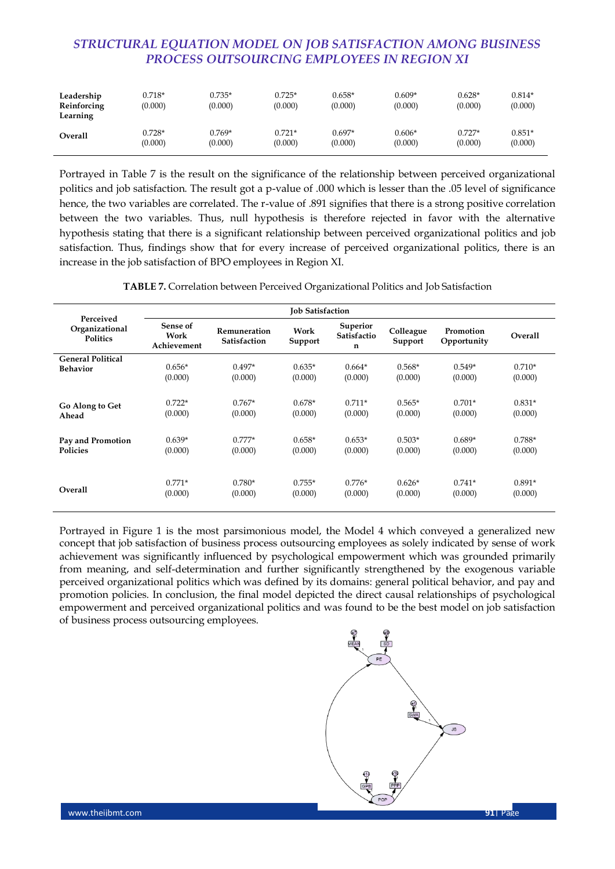| Leadership<br>Reinforcing<br><b>Learning</b> | $0.718*$<br>(0.000) | $0.735*$<br>(0.000) | $0.725*$<br>(0.000) | 0.658*<br>(0.000) | $0.609*$<br>(0.000) | $0.628*$<br>(0.000) | $0.814*$<br>(0.000) |
|----------------------------------------------|---------------------|---------------------|---------------------|-------------------|---------------------|---------------------|---------------------|
| Overall                                      | $0.728*$            | $0.769*$            | $0.721*$            | $0.697*$          | $0.606*$            | $0.727*$            | $0.851*$            |
|                                              | (0.000)             | (0.000)             | (0.000)             | (0.000)           | (0.000)             | (0.000)             | (0.000)             |

Portrayed in Table 7 is the result on the significance of the relationship between perceived organizational politics and job satisfaction. The result got a p-value of .000 which is lesser than the .05 level of significance hence, the two variables are correlated. The r-value of .891 signifies that there is a strong positive correlation between the two variables. Thus, null hypothesis is therefore rejected in favor with the alternative hypothesis stating that there is a significant relationship between perceived organizational politics and job satisfaction. Thus, findings show that for every increase of perceived organizational politics, there is an increase in the job satisfaction of BPO employees in Region XI.

**TABLE 7.** Correlation between Perceived Organizational Politics and Job Satisfaction

| Perceived                         | <b>Job Satisfaction</b>         |                              |                 |                              |                      |                          |                |
|-----------------------------------|---------------------------------|------------------------------|-----------------|------------------------------|----------------------|--------------------------|----------------|
| Organizational<br><b>Politics</b> | Sense of<br>Work<br>Achievement | Remuneration<br>Satisfaction | Work<br>Support | Superior<br>Satisfactio<br>n | Colleague<br>Support | Promotion<br>Opportunity | <b>Overall</b> |
| <b>General Political</b>          | $0.656*$                        | $0.497*$                     | $0.635*$        | $0.664*$                     | $0.568*$             | $0.549*$                 | $0.710*$       |
| <b>Behavior</b>                   | (0.000)                         | (0.000)                      | (0.000)         | (0.000)                      | (0.000)              | (0.000)                  | (0.000)        |
| Go Along to Get                   | $0.722*$                        | $0.767*$                     | $0.678*$        | $0.711*$                     | $0.565*$             | $0.701*$                 | $0.831*$       |
| Ahead                             | (0.000)                         | (0.000)                      | (0.000)         | (0.000)                      | (0.000)              | (0.000)                  | (0.000)        |
| Pay and Promotion                 | $0.639*$                        | $0.777*$                     | $0.658*$        | $0.653*$                     | $0.503*$             | $0.689*$                 | $0.788*$       |
| <b>Policies</b>                   | (0.000)                         | (0.000)                      | (0.000)         | (0.000)                      | (0.000)              | (0.000)                  | (0.000)        |
| Overall                           | $0.771*$                        | $0.780*$                     | $0.755*$        | $0.776*$                     | $0.626*$             | $0.741*$                 | $0.891*$       |
|                                   | (0.000)                         | (0.000)                      | (0.000)         | (0.000)                      | (0.000)              | (0.000)                  | (0.000)        |

Portrayed in Figure 1 is the most parsimonious model, the Model 4 which conveyed a generalized new concept that job satisfaction of business process outsourcing employees as solely indicated by sense of work achievement was significantly influenced by psychological empowerment which was grounded primarily from meaning, and self-determination and further significantly strengthened by the exogenous variable perceived organizational politics which was defined by its domains: general political behavior, and pay and promotion policies. In conclusion, the final model depicted the direct causal relationships of psychological empowerment and perceived organizational politics and was found to be the best model on job satisfaction of business process outsourcing employees.

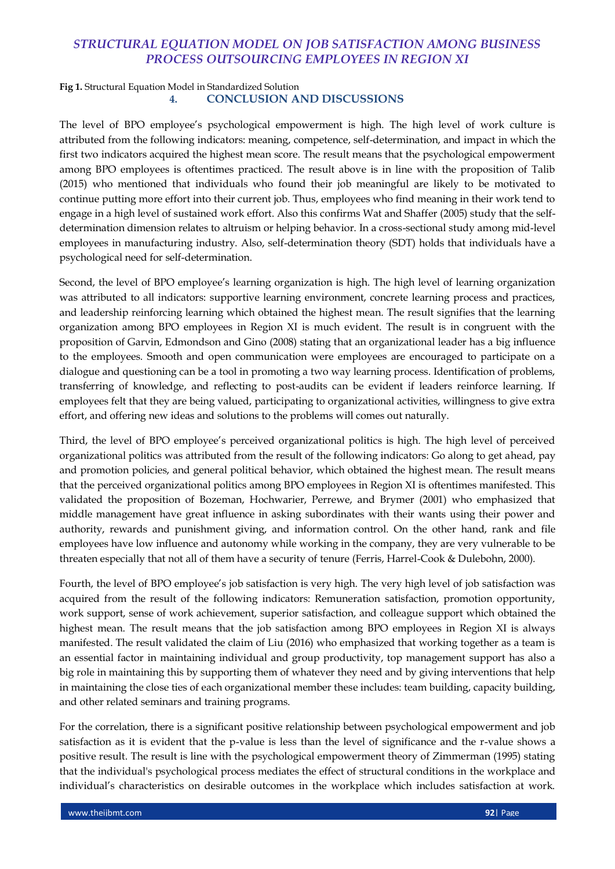## **Fig 1.** Structural Equation Model in Standardized Solution **4. CONCLUSION AND DISCUSSIONS**

The level of BPO employee's psychological empowerment is high. The high level of work culture is attributed from the following indicators: meaning, competence, self-determination, and impact in which the first two indicators acquired the highest mean score. The result means that the psychological empowerment among BPO employees is oftentimes practiced. The result above is in line with the proposition of Talib (2015) who mentioned that individuals who found their job meaningful are likely to be motivated to continue putting more effort into their current job. Thus, employees who find meaning in their work tend to engage in a high level of sustained work effort. Also this confirms Wat and Shaffer (2005) study that the selfdetermination dimension relates to altruism or helping behavior. In a cross-sectional study among mid-level employees in manufacturing industry. Also, self-determination theory (SDT) holds that individuals have a psychological need for self-determination.

Second, the level of BPO employee's learning organization is high. The high level of learning organization was attributed to all indicators: supportive learning environment, concrete learning process and practices, and leadership reinforcing learning which obtained the highest mean. The result signifies that the learning organization among BPO employees in Region XI is much evident. The result is in congruent with the proposition of Garvin, Edmondson and Gino (2008) stating that an organizational leader has a big influence to the employees. Smooth and open communication were employees are encouraged to participate on a dialogue and questioning can be a tool in promoting a two way learning process. Identification of problems, transferring of knowledge, and reflecting to post-audits can be evident if leaders reinforce learning. If employees felt that they are being valued, participating to organizational activities, willingness to give extra effort, and offering new ideas and solutions to the problems will comes out naturally.

Third, the level of BPO employee's perceived organizational politics is high. The high level of perceived organizational politics was attributed from the result of the following indicators: Go along to get ahead, pay and promotion policies, and general political behavior, which obtained the highest mean. The result means that the perceived organizational politics among BPO employees in Region XI is oftentimes manifested. This validated the proposition of Bozeman, Hochwarier, Perrewe, and Brymer (2001) who emphasized that middle management have great influence in asking subordinates with their wants using their power and authority, rewards and punishment giving, and information control. On the other hand, rank and file employees have low influence and autonomy while working in the company, they are very vulnerable to be threaten especially that not all of them have a security of tenure (Ferris, Harrel-Cook & Dulebohn, 2000).

Fourth, the level of BPO employee's job satisfaction is very high. The very high level of job satisfaction was acquired from the result of the following indicators: Remuneration satisfaction, promotion opportunity, work support, sense of work achievement, superior satisfaction, and colleague support which obtained the highest mean. The result means that the job satisfaction among BPO employees in Region XI is always manifested. The result validated the claim of Liu (2016) who emphasized that working together as a team is an essential factor in maintaining individual and group productivity, top management support has also a big role in maintaining this by supporting them of whatever they need and by giving interventions that help in maintaining the close ties of each organizational member these includes: team building, capacity building, and other related seminars and training programs.

For the correlation, there is a significant positive relationship between psychological empowerment and job satisfaction as it is evident that the p-value is less than the level of significance and the r-value shows a positive result. The result is line with the psychological empowerment theory of Zimmerman (1995) stating that the individual's psychological process mediates the effect of structural conditions in the workplace and individual's characteristics on desirable outcomes in the workplace which includes satisfaction at work.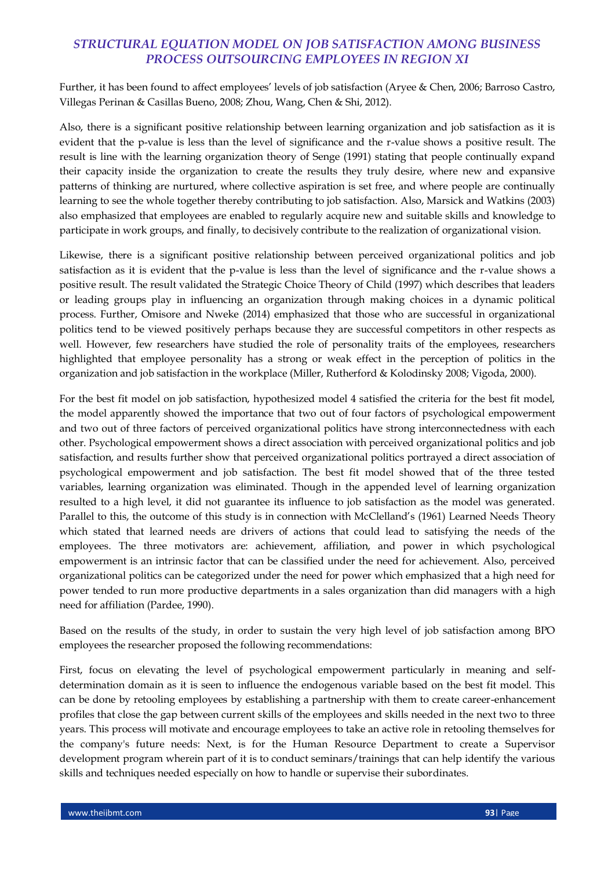Further, it has been found to affect employees' levels of job satisfaction (Aryee & Chen, 2006; Barroso Castro, Villegas Perinan & Casillas Bueno, 2008; Zhou, Wang, Chen & Shi, 2012).

Also, there is a significant positive relationship between learning organization and job satisfaction as it is evident that the p-value is less than the level of significance and the r-value shows a positive result. The result is line with the learning organization theory of Senge (1991) stating that people continually expand their capacity inside the organization to create the results they truly desire, where new and expansive patterns of thinking are nurtured, where collective aspiration is set free, and where people are continually learning to see the whole together thereby contributing to job satisfaction. Also, Marsick and Watkins (2003) also emphasized that employees are enabled to regularly acquire new and suitable skills and knowledge to participate in work groups, and finally, to decisively contribute to the realization of organizational vision.

Likewise, there is a significant positive relationship between perceived organizational politics and job satisfaction as it is evident that the p-value is less than the level of significance and the r-value shows a positive result. The result validated the Strategic Choice Theory of Child (1997) which describes that leaders or leading groups play in influencing an organization through making choices in a dynamic political process. Further, Omisore and Nweke (2014) emphasized that those who are successful in organizational politics tend to be viewed positively perhaps because they are successful competitors in other respects as well. However, few researchers have studied the role of personality traits of the employees, researchers highlighted that employee personality has a strong or weak effect in the perception of politics in the organization and job satisfaction in the workplace (Miller, Rutherford & Kolodinsky 2008; Vigoda, 2000).

For the best fit model on job satisfaction, hypothesized model 4 satisfied the criteria for the best fit model, the model apparently showed the importance that two out of four factors of psychological empowerment and two out of three factors of perceived organizational politics have strong interconnectedness with each other. Psychological empowerment shows a direct association with perceived organizational politics and job satisfaction, and results further show that perceived organizational politics portrayed a direct association of psychological empowerment and job satisfaction. The best fit model showed that of the three tested variables, learning organization was eliminated. Though in the appended level of learning organization resulted to a high level, it did not guarantee its influence to job satisfaction as the model was generated. Parallel to this, the outcome of this study is in connection with McClelland's (1961) Learned Needs Theory which stated that learned needs are drivers of actions that could lead to satisfying the needs of the employees. The three motivators are: achievement, affiliation, and power in which psychological empowerment is an intrinsic factor that can be classified under the need for achievement. Also, perceived organizational politics can be categorized under the need for power which emphasized that a high need for power tended to run more productive departments in a sales organization than did managers with a high need for affiliation (Pardee, 1990).

Based on the results of the study, in order to sustain the very high level of job satisfaction among BPO employees the researcher proposed the following recommendations:

First, focus on elevating the level of psychological empowerment particularly in meaning and selfdetermination domain as it is seen to influence the endogenous variable based on the best fit model. This can be done by retooling employees by establishing a partnership with them to create career-enhancement profiles that close the gap between current skills of the employees and skills needed in the next two to three years. This process will motivate and encourage employees to take an active role in retooling themselves for the company's future needs: Next, is for the Human Resource Department to create a Supervisor development program wherein part of it is to conduct seminars/trainings that can help identify the various skills and techniques needed especially on how to handle or supervise their subordinates.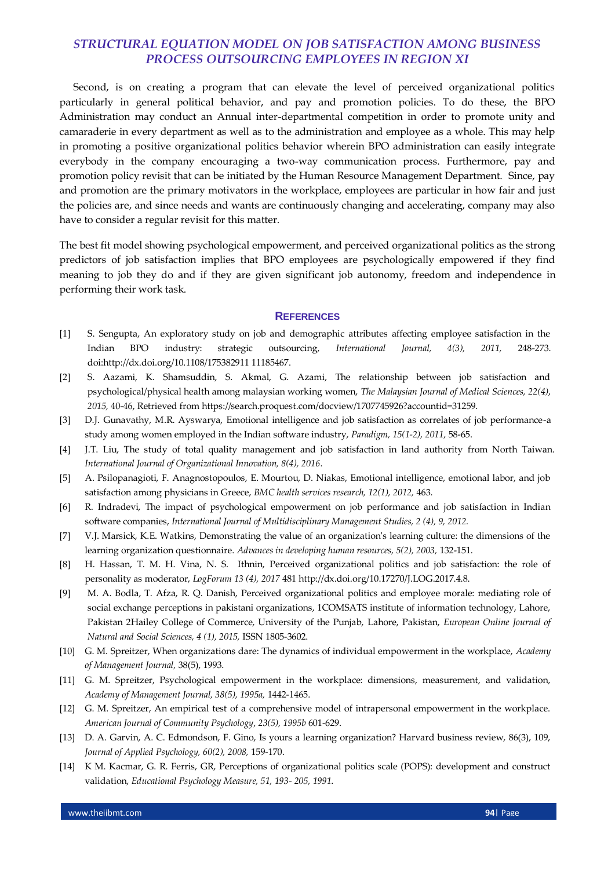Second, is on creating a program that can elevate the level of perceived organizational politics particularly in general political behavior, and pay and promotion policies. To do these, the BPO Administration may conduct an Annual inter-departmental competition in order to promote unity and camaraderie in every department as well as to the administration and employee as a whole. This may help in promoting a positive organizational politics behavior wherein BPO administration can easily integrate everybody in the company encouraging a two-way communication process. Furthermore, pay and promotion policy revisit that can be initiated by the Human Resource Management Department. Since, pay and promotion are the primary motivators in the workplace, employees are particular in how fair and just the policies are, and since needs and wants are continuously changing and accelerating, company may also have to consider a regular revisit for this matter.

The best fit model showing psychological empowerment, and perceived organizational politics as the strong predictors of job satisfaction implies that BPO employees are psychologically empowered if they find meaning to job they do and if they are given significant job autonomy, freedom and independence in performing their work task.

#### **REFERENCES**

- [1] S. Sengupta, An exploratory study on job and demographic attributes affecting employee satisfaction in the Indian BPO industry: strategic outsourcing, *International Journal, 4(3), 2011,* 248-273. doi:http://dx.doi.org/10.1108/175382911 11185467.
- [2] S. Aazami, K. Shamsuddin, S. Akmal, G. Azami, The relationship between job satisfaction and psychological/physical health among malaysian working women, *The Malaysian Journal of Medical Sciences, 22(4)*, *2015,* 40-46, Retrieved from https://search.proquest.com/docview/1707745926?accountid=31259.
- [3] D.J. Gunavathy, M.R. Ayswarya, Emotional intelligence and job satisfaction as correlates of job performance-a study among women employed in the Indian software industry, *Paradigm, 15(1-2), 2011,* 58-65.
- [4] J.T. Liu, The study of total quality management and job satisfaction in land authority from North Taiwan. *International Journal of Organizational Innovation, 8(4), 2016*.
- [5] A. Psilopanagioti, F. Anagnostopoulos, E. Mourtou, D. Niakas, Emotional intelligence, emotional labor, and job satisfaction among physicians in Greece, *BMC health services research, 12(1), 2012,* 463.
- [6] R. Indradevi, The impact of psychological empowerment on job performance and job satisfaction in Indian software companies, *International Journal of Multidisciplinary Management Studies, 2 (4), 9, 2012.*
- [7] V.J. Marsick, K.E. Watkins, Demonstrating the value of an organization's learning culture: the dimensions of the learning organization questionnaire. *Advances in developing human resources, 5(2), 2003,* 132-151.
- [8] H. Hassan, T. M. H. Vina, N. S. Ithnin, Perceived organizational politics and job satisfaction: the role of personality as moderator, *LogForum 13 (4), 2017* 481 http://dx.doi.org/10.17270/J.LOG.2017.4.8.
- [9] M. A. Bodla, T. Afza, R. Q. Danish, Perceived organizational politics and employee morale: mediating role of social exchange perceptions in pakistani organizations, 1COMSATS institute of information technology, Lahore, Pakistan 2Hailey College of Commerce, University of the Punjab, Lahore, Pakistan, *European Online Journal of Natural and Social Sciences, 4 (1), 2015,* ISSN 1805-3602.
- [10] G. M. Spreitzer, When organizations dare: The dynamics of individual empowerment in the workplace, *Academy of Management Journal,* 38(5), 1993.
- [11] G. M. Spreitzer, Psychological empowerment in the workplace: dimensions, measurement, and validation, *Academy of Management Journal, 38(5), 1995a,* 1442-1465.
- [12] G. M. Spreitzer, An empirical test of a comprehensive model of intrapersonal empowerment in the workplace. *American Journal of Community Psychology*, *23(5), 1995b* 601-629.
- [13] D. A. Garvin, A. C. Edmondson, F. Gino, Is yours a learning organization? Harvard business review, 86(3), 109, *Journal of Applied Psychology, 60(2), 2008,* 159-170.
- [14] K M. Kacmar, G. R. Ferris, GR, Perceptions of organizational politics scale (POPS): development and construct validation, *Educational Psychology Measure, 51, 193- 205, 1991*.